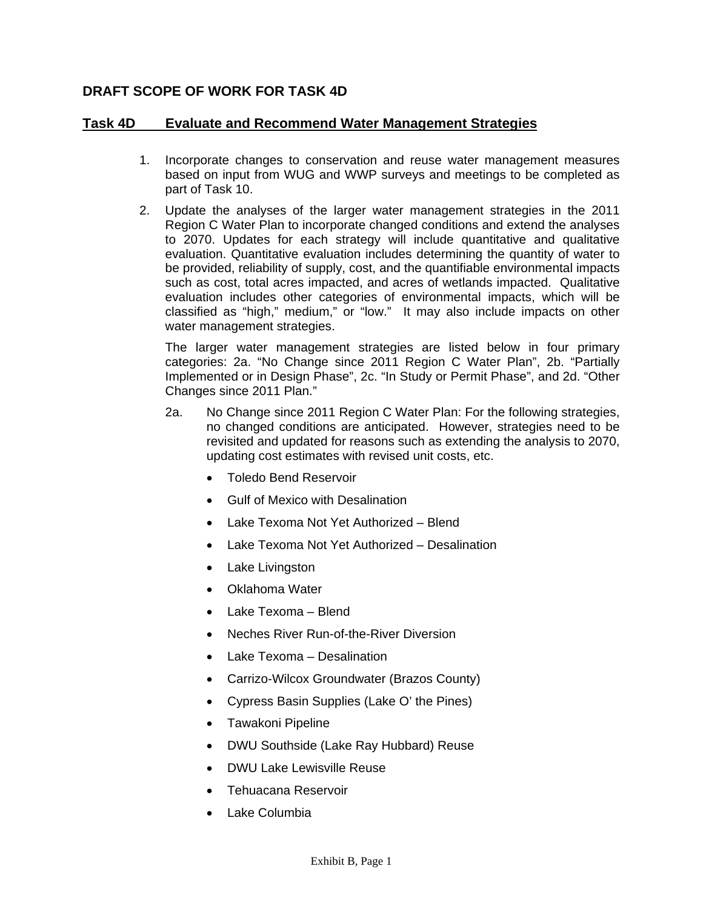## **DRAFT SCOPE OF WORK FOR TASK 4D**

## **Task 4D Evaluate and Recommend Water Management Strategies**

- 1. Incorporate changes to conservation and reuse water management measures based on input from WUG and WWP surveys and meetings to be completed as part of Task 10.
- 2. Update the analyses of the larger water management strategies in the 2011 Region C Water Plan to incorporate changed conditions and extend the analyses to 2070. Updates for each strategy will include quantitative and qualitative evaluation. Quantitative evaluation includes determining the quantity of water to be provided, reliability of supply, cost, and the quantifiable environmental impacts such as cost, total acres impacted, and acres of wetlands impacted. Qualitative evaluation includes other categories of environmental impacts, which will be classified as "high," medium," or "low." It may also include impacts on other water management strategies.

 The larger water management strategies are listed below in four primary categories: 2a. "No Change since 2011 Region C Water Plan", 2b. "Partially Implemented or in Design Phase", 2c. "In Study or Permit Phase", and 2d. "Other Changes since 2011 Plan."

- 2a. No Change since 2011 Region C Water Plan: For the following strategies, no changed conditions are anticipated. However, strategies need to be revisited and updated for reasons such as extending the analysis to 2070, updating cost estimates with revised unit costs, etc.
	- Toledo Bend Reservoir
	- Gulf of Mexico with Desalination
	- Lake Texoma Not Yet Authorized Blend
	- Lake Texoma Not Yet Authorized Desalination
	- Lake Livingston
	- Oklahoma Water
	- Lake Texoma Blend
	- Neches River Run-of-the-River Diversion
	- Lake Texoma Desalination
	- Carrizo-Wilcox Groundwater (Brazos County)
	- Cypress Basin Supplies (Lake O' the Pines)
	- Tawakoni Pipeline
	- DWU Southside (Lake Ray Hubbard) Reuse
	- DWU Lake Lewisville Reuse
	- Tehuacana Reservoir
	- Lake Columbia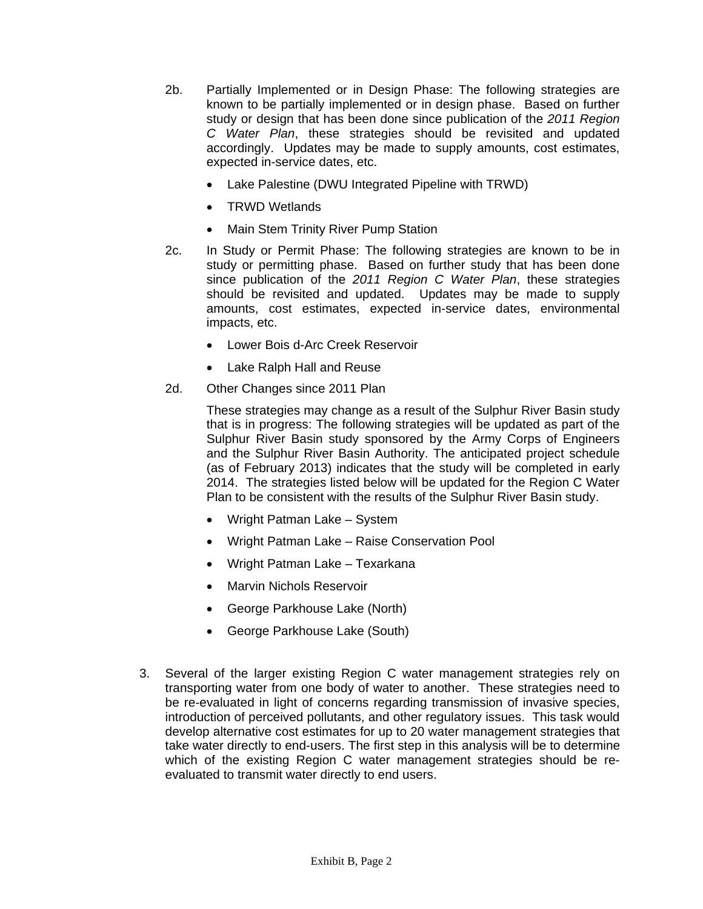- 2b. Partially Implemented or in Design Phase: The following strategies are known to be partially implemented or in design phase. Based on further study or design that has been done since publication of the *2011 Region C Water Plan*, these strategies should be revisited and updated accordingly. Updates may be made to supply amounts, cost estimates, expected in-service dates, etc.
	- Lake Palestine (DWU Integrated Pipeline with TRWD)
	- TRWD Wetlands
	- Main Stem Trinity River Pump Station
- 2c. In Study or Permit Phase: The following strategies are known to be in study or permitting phase. Based on further study that has been done since publication of the *2011 Region C Water Plan*, these strategies should be revisited and updated. Updates may be made to supply amounts, cost estimates, expected in-service dates, environmental impacts, etc.
	- Lower Bois d-Arc Creek Reservoir
	- Lake Ralph Hall and Reuse
- 2d. Other Changes since 2011 Plan

These strategies may change as a result of the Sulphur River Basin study that is in progress: The following strategies will be updated as part of the Sulphur River Basin study sponsored by the Army Corps of Engineers and the Sulphur River Basin Authority. The anticipated project schedule (as of February 2013) indicates that the study will be completed in early 2014. The strategies listed below will be updated for the Region C Water Plan to be consistent with the results of the Sulphur River Basin study.

- Wright Patman Lake System
- Wright Patman Lake Raise Conservation Pool
- Wright Patman Lake Texarkana
- Marvin Nichols Reservoir
- George Parkhouse Lake (North)
- George Parkhouse Lake (South)
- 3. Several of the larger existing Region C water management strategies rely on transporting water from one body of water to another. These strategies need to be re-evaluated in light of concerns regarding transmission of invasive species, introduction of perceived pollutants, and other regulatory issues. This task would develop alternative cost estimates for up to 20 water management strategies that take water directly to end-users. The first step in this analysis will be to determine which of the existing Region C water management strategies should be reevaluated to transmit water directly to end users.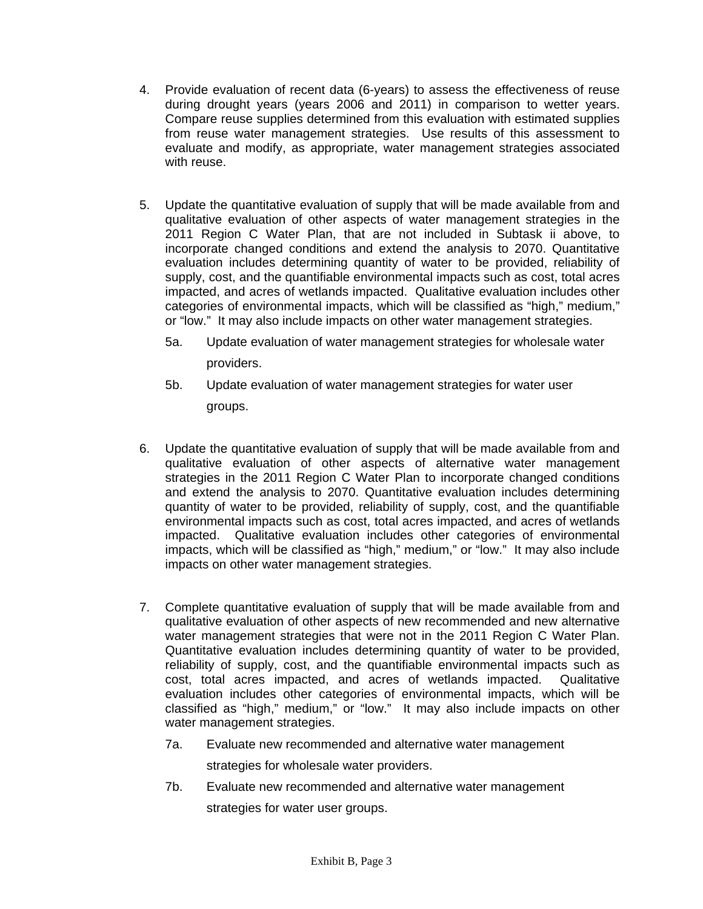- 4. Provide evaluation of recent data (6-years) to assess the effectiveness of reuse during drought years (years 2006 and 2011) in comparison to wetter years. Compare reuse supplies determined from this evaluation with estimated supplies from reuse water management strategies. Use results of this assessment to evaluate and modify, as appropriate, water management strategies associated with reuse.
- 5. Update the quantitative evaluation of supply that will be made available from and qualitative evaluation of other aspects of water management strategies in the 2011 Region C Water Plan, that are not included in Subtask ii above, to incorporate changed conditions and extend the analysis to 2070. Quantitative evaluation includes determining quantity of water to be provided, reliability of supply, cost, and the quantifiable environmental impacts such as cost, total acres impacted, and acres of wetlands impacted. Qualitative evaluation includes other categories of environmental impacts, which will be classified as "high," medium," or "low." It may also include impacts on other water management strategies.
	- 5a. Update evaluation of water management strategies for wholesale water providers.
	- 5b. Update evaluation of water management strategies for water user groups.
- 6. Update the quantitative evaluation of supply that will be made available from and qualitative evaluation of other aspects of alternative water management strategies in the 2011 Region C Water Plan to incorporate changed conditions and extend the analysis to 2070. Quantitative evaluation includes determining quantity of water to be provided, reliability of supply, cost, and the quantifiable environmental impacts such as cost, total acres impacted, and acres of wetlands impacted. Qualitative evaluation includes other categories of environmental impacts, which will be classified as "high," medium," or "low." It may also include impacts on other water management strategies.
- 7. Complete quantitative evaluation of supply that will be made available from and qualitative evaluation of other aspects of new recommended and new alternative water management strategies that were not in the 2011 Region C Water Plan. Quantitative evaluation includes determining quantity of water to be provided, reliability of supply, cost, and the quantifiable environmental impacts such as cost, total acres impacted, and acres of wetlands impacted. Qualitative evaluation includes other categories of environmental impacts, which will be classified as "high," medium," or "low." It may also include impacts on other water management strategies.
	- 7a. Evaluate new recommended and alternative water management strategies for wholesale water providers.
	- 7b. Evaluate new recommended and alternative water management strategies for water user groups.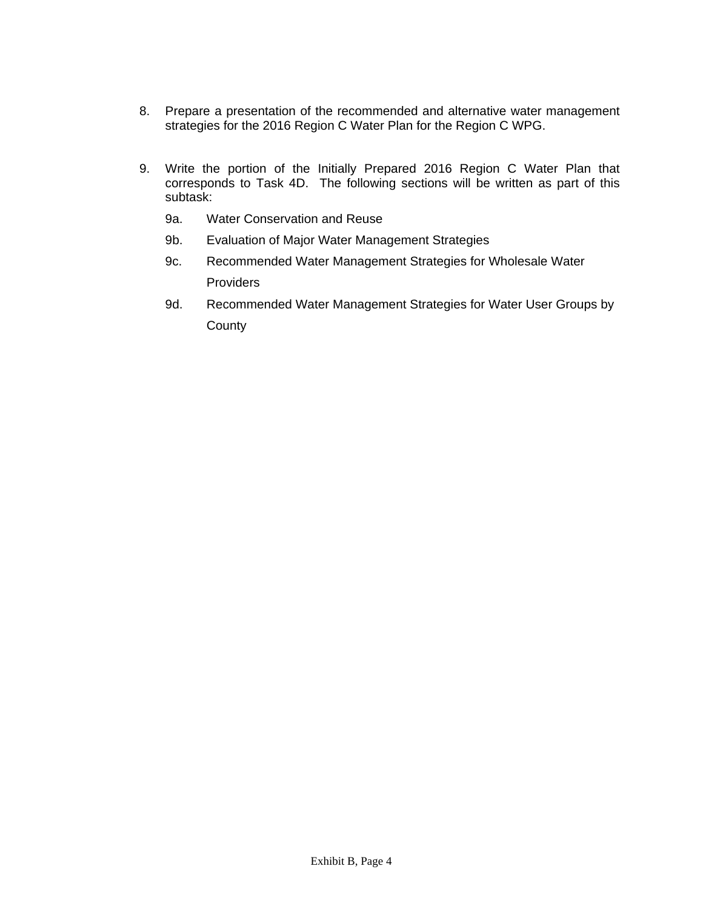- 8. Prepare a presentation of the recommended and alternative water management strategies for the 2016 Region C Water Plan for the Region C WPG.
- 9. Write the portion of the Initially Prepared 2016 Region C Water Plan that corresponds to Task 4D. The following sections will be written as part of this subtask:
	- 9a. Water Conservation and Reuse
	- 9b. Evaluation of Major Water Management Strategies
	- 9c. Recommended Water Management Strategies for Wholesale Water Providers
	- 9d. Recommended Water Management Strategies for Water User Groups by County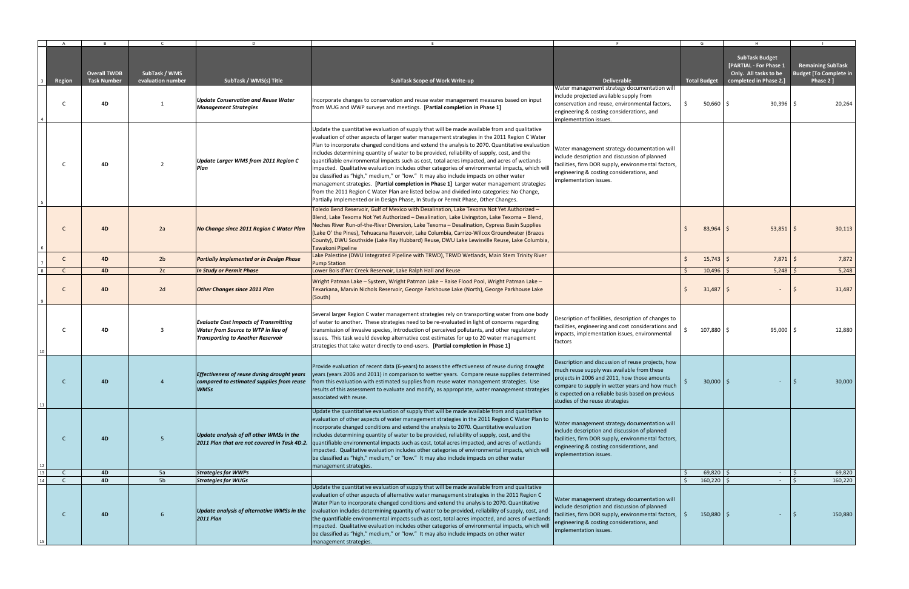|    | A            | $\overline{R}$                            | $\mathsf{C}$                       | D.                                                                                                                              | F.                                                                                                                                                                                                                                                                                                                                                                                                                                                                                                                                                                                                                                                                                                                                                                                                                                                                                                                                                                            | - F                                                                                                                                                                                                                                                                                       |    | G                   | H                                                                                                  | $\blacksquare$                                                         |
|----|--------------|-------------------------------------------|------------------------------------|---------------------------------------------------------------------------------------------------------------------------------|-------------------------------------------------------------------------------------------------------------------------------------------------------------------------------------------------------------------------------------------------------------------------------------------------------------------------------------------------------------------------------------------------------------------------------------------------------------------------------------------------------------------------------------------------------------------------------------------------------------------------------------------------------------------------------------------------------------------------------------------------------------------------------------------------------------------------------------------------------------------------------------------------------------------------------------------------------------------------------|-------------------------------------------------------------------------------------------------------------------------------------------------------------------------------------------------------------------------------------------------------------------------------------------|----|---------------------|----------------------------------------------------------------------------------------------------|------------------------------------------------------------------------|
|    | Region       | <b>Overall TWDB</b><br><b>Task Number</b> | SubTask / WMS<br>evaluation number | SubTask / WMS(s) Title                                                                                                          | SubTask Scope of Work Write-up                                                                                                                                                                                                                                                                                                                                                                                                                                                                                                                                                                                                                                                                                                                                                                                                                                                                                                                                                | <b>Deliverable</b>                                                                                                                                                                                                                                                                        |    | <b>Total Budget</b> | <b>SubTask Budget</b><br>[PARTIAL - For Phase 1<br>Only. All tasks to be<br>completed in Phase 2.] | <b>Remaining SubTask</b><br><b>Budget [To Complete in</b><br>Phase 2 ] |
|    | C            | 4D                                        | -1                                 | Update Conservation and Reuse Water<br><b>Management Strategies</b>                                                             | Incorporate changes to conservation and reuse water management measures based on input<br>from WUG and WWP surveys and meetings. [Partial completion in Phase 1]                                                                                                                                                                                                                                                                                                                                                                                                                                                                                                                                                                                                                                                                                                                                                                                                              | Water management strategy documentation will<br>include projected available supply from<br>conservation and reuse, environmental factors,<br>engineering & costing considerations, and<br>implementation issues.                                                                          | Ŝ. | $50,660$ \$         | $30,396$ \$                                                                                        | 20,264                                                                 |
|    | C            | 4D                                        | $\overline{2}$                     | Update Larger WMS from 2011 Region C<br>Plan                                                                                    | Update the quantitative evaluation of supply that will be made available from and qualitative<br>evaluation of other aspects of larger water management strategies in the 2011 Region C Water<br>Plan to incorporate changed conditions and extend the analysis to 2070. Quantitative evaluation<br>includes determining quantity of water to be provided, reliability of supply, cost, and the<br>quantifiable environmental impacts such as cost, total acres impacted, and acres of wetlands<br>impacted. Qualitative evaluation includes other categories of environmental impacts, which will<br>be classified as "high," medium," or "low." It may also include impacts on other water<br>management strategies. [Partial completion in Phase 1] Larger water management strategies<br>from the 2011 Region C Water Plan are listed below and divided into categories: No Change,<br>Partially Implemented or in Design Phase, In Study or Permit Phase, Other Changes. | Water management strategy documentation will<br>include description and discussion of planned<br>facilities, firm DOR supply, environmental factors,<br>engineering & costing considerations, and<br>mplementation issues.                                                                |    |                     |                                                                                                    |                                                                        |
|    | C            | <b>4D</b>                                 | 2a                                 | No Change since 2011 Region C Water Plan                                                                                        | Toledo Bend Reservoir, Gulf of Mexico with Desalination, Lake Texoma Not Yet Authorized -<br>Blend, Lake Texoma Not Yet Authorized - Desalination, Lake Livingston, Lake Texoma - Blend,<br>Neches River Run-of-the-River Diversion, Lake Texoma - Desalination, Cypress Basin Supplies<br>(Lake O' the Pines), Tehuacana Reservoir, Lake Columbia, Carrizo-Wilcox Groundwater (Brazos<br>County), DWU Southside (Lake Ray Hubbard) Reuse, DWU Lake Lewisville Reuse, Lake Columbia,<br>Tawakoni Pipeline                                                                                                                                                                                                                                                                                                                                                                                                                                                                     |                                                                                                                                                                                                                                                                                           |    | $83,964$ \$         | $53,851$ \$                                                                                        | 30,113                                                                 |
|    | C            | 4D                                        | 2 <sub>b</sub>                     | <b>Partially Implemented or in Design Phase</b>                                                                                 | Lake Palestine (DWU Integrated Pipeline with TRWD), TRWD Wetlands, Main Stem Trinity River<br><b>Pump Station</b>                                                                                                                                                                                                                                                                                                                                                                                                                                                                                                                                                                                                                                                                                                                                                                                                                                                             |                                                                                                                                                                                                                                                                                           |    | $15,743$ \$         | $7,871$ \$                                                                                         | 7,872                                                                  |
|    | $\mathsf{C}$ | <b>4D</b>                                 | 2c                                 | <b>In Study or Permit Phase</b>                                                                                                 | Lower Bois d'Arc Creek Reservoir, Lake Ralph Hall and Reuse                                                                                                                                                                                                                                                                                                                                                                                                                                                                                                                                                                                                                                                                                                                                                                                                                                                                                                                   |                                                                                                                                                                                                                                                                                           |    | $10,496$ \$         | $5,248$ \$                                                                                         | 5,248                                                                  |
|    | C            | 4D                                        | 2d                                 | <b>Other Changes since 2011 Plan</b>                                                                                            | Wright Patman Lake - System, Wright Patman Lake - Raise Flood Pool, Wright Patman Lake -<br>Texarkana, Marvin Nichols Reservoir, George Parkhouse Lake (North), George Parkhouse Lake<br>(South)                                                                                                                                                                                                                                                                                                                                                                                                                                                                                                                                                                                                                                                                                                                                                                              |                                                                                                                                                                                                                                                                                           |    | $31,487$ \$         |                                                                                                    | 31,487                                                                 |
|    | C            | 4D                                        | 3                                  | <b>Evaluate Cost Impacts of Transmitting</b><br>Water from Source to WTP in lieu of<br><b>Transporting to Another Reservoir</b> | Several larger Region C water management strategies rely on transporting water from one body<br>of water to another. These strategies need to be re-evaluated in light of concerns regarding<br>transmission of invasive species, introduction of perceived pollutants, and other regulatory<br>issues. This task would develop alternative cost estimates for up to 20 water management<br>strategies that take water directly to end-users. [Partial completion in Phase 1]                                                                                                                                                                                                                                                                                                                                                                                                                                                                                                 | Description of facilities, description of changes to<br>facilities, engineering and cost considerations and<br>impacts, implementation issues, environmental<br>factors                                                                                                                   |    | 107,880 \$          | $95,000$ \$                                                                                        | 12,880                                                                 |
|    | C            | 4 <sub>D</sub>                            |                                    | Effectiveness of reuse during drought years<br>compared to estimated supplies from reuse<br>WMSs                                | Provide evaluation of recent data (6-years) to assess the effectiveness of reuse during drought<br>years (years 2006 and 2011) in comparison to wetter years. Compare reuse supplies determined<br>from this evaluation with estimated supplies from reuse water management strategies. Use<br>results of this assessment to evaluate and modify, as appropriate, water management strategies<br>associated with reuse.                                                                                                                                                                                                                                                                                                                                                                                                                                                                                                                                                       | Description and discussion of reuse projects, how<br>much reuse supply was available from these<br>projects in 2006 and 2011, how those amounts<br>compare to supply in wetter years and how much<br>is expected on a reliable basis based on previous<br>studies of the reuse strategies |    | $30,000$ \$         |                                                                                                    | 30,000                                                                 |
|    | $\mathsf{C}$ | 4D                                        | 5                                  | Update analysis of all other WMSs in the<br>2011 Plan that are not covered in Task 4D.2.                                        | Update the quantitative evaluation of supply that will be made available from and qualitative<br>evaluation of other aspects of water management strategies in the 2011 Region C Water Plan to<br>incorporate changed conditions and extend the analysis to 2070. Quantitative evaluation<br>includes determining quantity of water to be provided, reliability of supply, cost, and the<br>quantifiable environmental impacts such as cost, total acres impacted, and acres of wetlands<br>impacted. Qualitative evaluation includes other categories of environmental impacts, which will<br>be classified as "high," medium," or "low." It may also include impacts on other water<br>management strategies.                                                                                                                                                                                                                                                               | Water management strategy documentation will<br>include description and discussion of planned<br>facilities, firm DOR supply, environmental factors,<br>engineering & costing considerations, and<br>implementation issues.                                                               |    |                     |                                                                                                    |                                                                        |
|    | C            | 4D                                        | 5a                                 | <b>Strategies for WWPs</b>                                                                                                      |                                                                                                                                                                                                                                                                                                                                                                                                                                                                                                                                                                                                                                                                                                                                                                                                                                                                                                                                                                               |                                                                                                                                                                                                                                                                                           |    | $69,820$ \$         | $\sim$                                                                                             | 69,820                                                                 |
| 14 | $\mathsf{C}$ | 4D                                        | 5b                                 | <b>Strategies for WUGs</b>                                                                                                      |                                                                                                                                                                                                                                                                                                                                                                                                                                                                                                                                                                                                                                                                                                                                                                                                                                                                                                                                                                               |                                                                                                                                                                                                                                                                                           |    | 160,220 \$          | $\sim$                                                                                             | 160,220                                                                |
|    | $\mathsf{C}$ | 4D                                        | 6                                  | Update analysis of alternative WMSs in the<br><b>2011 Plan</b>                                                                  | Update the quantitative evaluation of supply that will be made available from and qualitative<br>evaluation of other aspects of alternative water management strategies in the 2011 Region C<br>Water Plan to incorporate changed conditions and extend the analysis to 2070. Quantitative<br>evaluation includes determining quantity of water to be provided, reliability of supply, cost, and<br>the quantifiable environmental impacts such as cost, total acres impacted, and acres of wetlands<br>impacted. Qualitative evaluation includes other categories of environmental impacts, which will<br>be classified as "high," medium," or "low." It may also include impacts on other water<br>management strategies.                                                                                                                                                                                                                                                   | Water management strategy documentation will<br>include description and discussion of planned<br>facilities, firm DOR supply, environmental factors,<br>engineering & costing considerations, and<br>implementation issues.                                                               |    | $150,880$ \$        |                                                                                                    | 150,880                                                                |